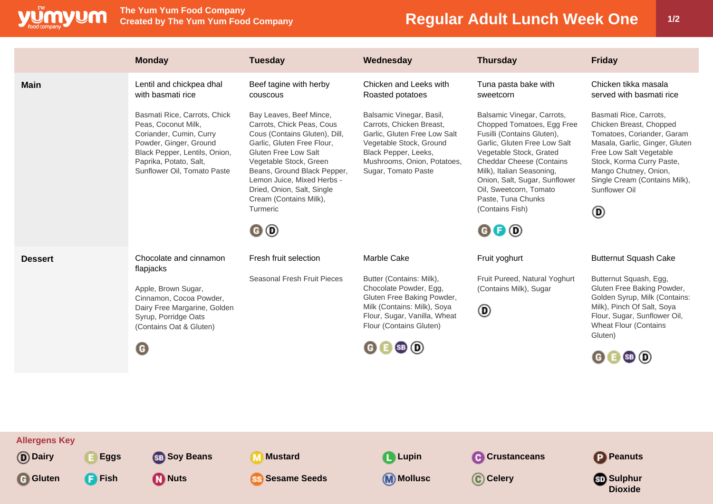

**The Yum Yum Food Company**

## **Regular Adult Lunch Week One | 1/2**

|                | <b>Monday</b>                                                                                                                                                                                      | <b>Tuesday</b>                                                                                                                                                                                                                                                                                               | Wednesday                                                                                                                                                                                            | <b>Thursday</b>                                                                                                                                                                                                                                                                                                                                                            | <b>Friday</b>                                                                                                                                                                                                                                                             |
|----------------|----------------------------------------------------------------------------------------------------------------------------------------------------------------------------------------------------|--------------------------------------------------------------------------------------------------------------------------------------------------------------------------------------------------------------------------------------------------------------------------------------------------------------|------------------------------------------------------------------------------------------------------------------------------------------------------------------------------------------------------|----------------------------------------------------------------------------------------------------------------------------------------------------------------------------------------------------------------------------------------------------------------------------------------------------------------------------------------------------------------------------|---------------------------------------------------------------------------------------------------------------------------------------------------------------------------------------------------------------------------------------------------------------------------|
| <b>Main</b>    | Lentil and chickpea dhal<br>with basmati rice                                                                                                                                                      | Beef tagine with herby<br>couscous                                                                                                                                                                                                                                                                           | Chicken and Leeks with<br>Roasted potatoes                                                                                                                                                           | Tuna pasta bake with<br>sweetcorn                                                                                                                                                                                                                                                                                                                                          | Chicken tikka masala<br>served with basmati rice                                                                                                                                                                                                                          |
|                | Basmati Rice, Carrots, Chick<br>Peas, Coconut Milk,<br>Coriander, Cumin, Curry<br>Powder, Ginger, Ground<br>Black Pepper, Lentils, Onion,<br>Paprika, Potato, Salt,<br>Sunflower Oil, Tomato Paste | Bay Leaves, Beef Mince,<br>Carrots, Chick Peas, Cous<br>Cous (Contains Gluten), Dill,<br>Garlic, Gluten Free Flour,<br>Gluten Free Low Salt<br>Vegetable Stock, Green<br>Beans, Ground Black Pepper,<br>Lemon Juice, Mixed Herbs -<br>Dried, Onion, Salt, Single<br>Cream (Contains Milk),<br>Turmeric<br>0O | Balsamic Vinegar, Basil,<br>Carrots, Chicken Breast,<br>Garlic, Gluten Free Low Salt<br>Vegetable Stock, Ground<br>Black Pepper, Leeks,<br>Mushrooms, Onion, Potatoes,<br>Sugar, Tomato Paste        | Balsamic Vinegar, Carrots,<br>Chopped Tomatoes, Egg Free<br>Fusilli (Contains Gluten),<br>Garlic, Gluten Free Low Salt<br>Vegetable Stock, Grated<br><b>Cheddar Cheese (Contains</b><br>Milk), Italian Seasoning,<br>Onion, Salt, Sugar, Sunflower<br>Oil, Sweetcorn, Tomato<br>Paste, Tuna Chunks<br>(Contains Fish)<br>$\mathbf{\Theta} \mathbf{\Theta} \mathbf{\Theta}$ | Basmati Rice, Carrots,<br>Chicken Breast, Chopped<br>Tomatoes, Coriander, Garam<br>Masala, Garlic, Ginger, Gluten<br>Free Low Salt Vegetable<br>Stock, Korma Curry Paste,<br>Mango Chutney, Onion,<br>Single Cream (Contains Milk),<br>Sunflower Oil<br>◉                 |
| <b>Dessert</b> | Chocolate and cinnamon<br>flapjacks<br>Apple, Brown Sugar,<br>Cinnamon, Cocoa Powder,<br>Dairy Free Margarine, Golden<br>Syrup, Porridge Oats<br>(Contains Oat & Gluten)<br>O                      | Fresh fruit selection<br>Seasonal Fresh Fruit Pieces                                                                                                                                                                                                                                                         | Marble Cake<br>Butter (Contains: Milk),<br>Chocolate Powder, Egg,<br>Gluten Free Baking Powder,<br>Milk (Contains: Milk), Soya<br>Flour, Sugar, Vanilla, Wheat<br>Flour (Contains Gluten)<br>0 0 0 0 | Fruit yoghurt<br>Fruit Pureed, Natural Yoghurt<br>(Contains Milk), Sugar<br>◉                                                                                                                                                                                                                                                                                              | <b>Butternut Squash Cake</b><br>Butternut Squash, Egg,<br>Gluten Free Baking Powder,<br>Golden Syrup, Milk (Contains:<br>Milk), Pinch Of Salt, Soya<br>Flour, Sugar, Sunflower Oil,<br><b>Wheat Flour (Contains</b><br>Gluten)<br>$\mathbf{G} \mathbf{E}$ SB $\mathbf{D}$ |
|                |                                                                                                                                                                                                    |                                                                                                                                                                                                                                                                                                              |                                                                                                                                                                                                      |                                                                                                                                                                                                                                                                                                                                                                            |                                                                                                                                                                                                                                                                           |
|                |                                                                                                                                                                                                    |                                                                                                                                                                                                                                                                                                              |                                                                                                                                                                                                      |                                                                                                                                                                                                                                                                                                                                                                            |                                                                                                                                                                                                                                                                           |